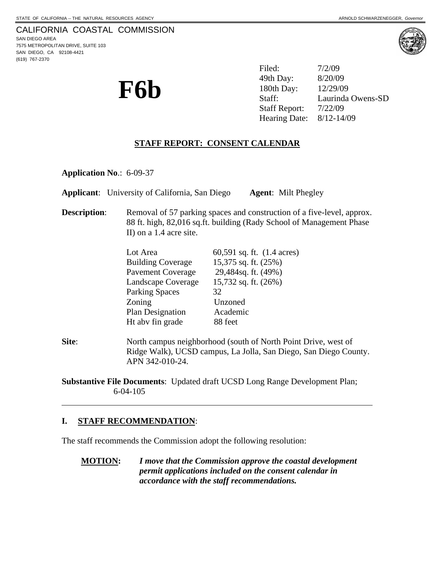(619) 767-2370



**F6b** <sup>49th Day: 8/20/09<br>180th Day: 12/29/09<br>Staff: Laurinda</sup> Filed: 7/2/09 49th Day: Laurinda Owens-SD Staff Report: 7/22/09 Hearing Date: 8/12-14/09

# **STAFF REPORT: CONSENT CALENDAR**

**Application No**.: 6-09-37

**Applicant**: University of California, San Diego **Agent**: Milt Phegley

**Description:** Removal of 57 parking spaces and construction of a five-level, approx. 88 ft. high, 82,016 sq.ft. building (Rady School of Management Phase II) on a 1.4 acre site.

| Lot Area                 | 60,591 sq. ft. (1.4 acres) |
|--------------------------|----------------------------|
| <b>Building Coverage</b> | 15,375 sq. ft. (25%)       |
| <b>Pavement Coverage</b> | 29,484sq. ft. (49%)        |
| Landscape Coverage       | 15,732 sq. ft. (26%)       |
| <b>Parking Spaces</b>    | 32                         |
| Zoning                   | Unzoned                    |
| Plan Designation         | Academic                   |
| Ht abv fin grade         | 88 feet                    |
|                          |                            |

**Site:** North campus neighborhood (south of North Point Drive, west of Ridge Walk), UCSD campus, La Jolla, San Diego, San Diego County. APN 342-010-24.

**Substantive File Documents**: Updated draft UCSD Long Range Development Plan; 6-04-105

#### **I. STAFF RECOMMENDATION**:

 $\overline{a}$ 

The staff recommends the Commission adopt the following resolution:

**MOTION:** *I move that the Commission approve the coastal development permit applications included on the consent calendar in accordance with the staff recommendations.*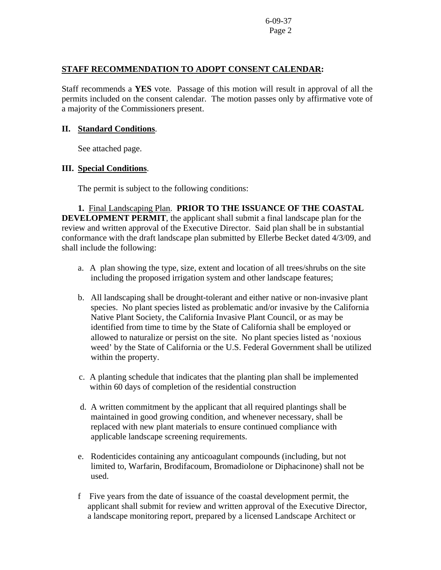### **STAFF RECOMMENDATION TO ADOPT CONSENT CALENDAR:**

Staff recommends a **YES** vote. Passage of this motion will result in approval of all the permits included on the consent calendar. The motion passes only by affirmative vote of a majority of the Commissioners present.

### **II. Standard Conditions**.

See attached page.

## **III. Special Conditions**.

The permit is subject to the following conditions:

 **1.** Final Landscaping Plan. **PRIOR TO THE ISSUANCE OF THE COASTAL DEVELOPMENT PERMIT**, the applicant shall submit a final landscape plan for the review and written approval of the Executive Director. Said plan shall be in substantial conformance with the draft landscape plan submitted by Ellerbe Becket dated 4/3/09, and shall include the following:

- a. A plan showing the type, size, extent and location of all trees/shrubs on the site including the proposed irrigation system and other landscape features;
- b. All landscaping shall be drought-tolerant and either native or non-invasive plant species. No plant species listed as problematic and/or invasive by the California Native Plant Society, the California Invasive Plant Council, or as may be identified from time to time by the State of California shall be employed or allowed to naturalize or persist on the site. No plant species listed as 'noxious weed' by the State of California or the U.S. Federal Government shall be utilized within the property.
- c. A planting schedule that indicates that the planting plan shall be implemented within 60 days of completion of the residential construction
- d. A written commitment by the applicant that all required plantings shall be maintained in good growing condition, and whenever necessary, shall be replaced with new plant materials to ensure continued compliance with applicable landscape screening requirements.
- e. Rodenticides containing any anticoagulant compounds (including, but not limited to, Warfarin, Brodifacoum, Bromadiolone or Diphacinone) shall not be used.
- f Five years from the date of issuance of the coastal development permit, the applicant shall submit for review and written approval of the Executive Director, a landscape monitoring report, prepared by a licensed Landscape Architect or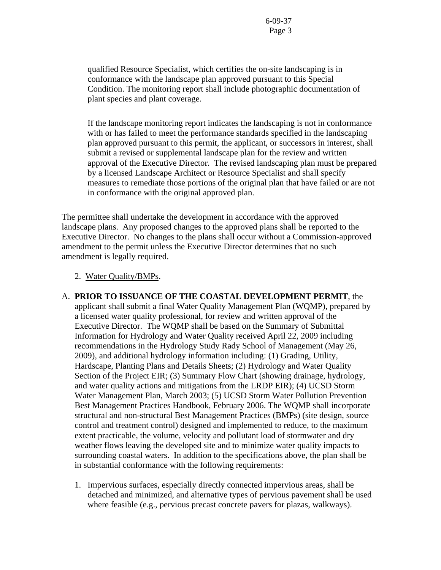qualified Resource Specialist, which certifies the on-site landscaping is in conformance with the landscape plan approved pursuant to this Special Condition. The monitoring report shall include photographic documentation of plant species and plant coverage.

 If the landscape monitoring report indicates the landscaping is not in conformance with or has failed to meet the performance standards specified in the landscaping plan approved pursuant to this permit, the applicant, or successors in interest, shall submit a revised or supplemental landscape plan for the review and written approval of the Executive Director. The revised landscaping plan must be prepared by a licensed Landscape Architect or Resource Specialist and shall specify measures to remediate those portions of the original plan that have failed or are not in conformance with the original approved plan.

The permittee shall undertake the development in accordance with the approved landscape plans. Any proposed changes to the approved plans shall be reported to the Executive Director. No changes to the plans shall occur without a Commission-approved amendment to the permit unless the Executive Director determines that no such amendment is legally required.

#### 2. Water Quality/BMPs.

- A. **PRIOR TO ISSUANCE OF THE COASTAL DEVELOPMENT PERMIT**, the applicant shall submit a final Water Quality Management Plan (WQMP), prepared by a licensed water quality professional, for review and written approval of the Executive Director. The WQMP shall be based on the Summary of Submittal Information for Hydrology and Water Quality received April 22, 2009 including recommendations in the Hydrology Study Rady School of Management (May 26, 2009), and additional hydrology information including: (1) Grading, Utility, Hardscape, Planting Plans and Details Sheets; (2) Hydrology and Water Quality Section of the Project EIR; (3) Summary Flow Chart (showing drainage, hydrology, and water quality actions and mitigations from the LRDP EIR); (4) UCSD Storm Water Management Plan, March 2003; (5) UCSD Storm Water Pollution Prevention Best Management Practices Handbook, February 2006. The WQMP shall incorporate structural and non-structural Best Management Practices (BMPs) (site design, source control and treatment control) designed and implemented to reduce, to the maximum extent practicable, the volume, velocity and pollutant load of stormwater and dry weather flows leaving the developed site and to minimize water quality impacts to surrounding coastal waters. In addition to the specifications above, the plan shall be in substantial conformance with the following requirements:
	- 1. Impervious surfaces, especially directly connected impervious areas, shall be detached and minimized, and alternative types of pervious pavement shall be used where feasible (e.g., pervious precast concrete pavers for plazas, walkways).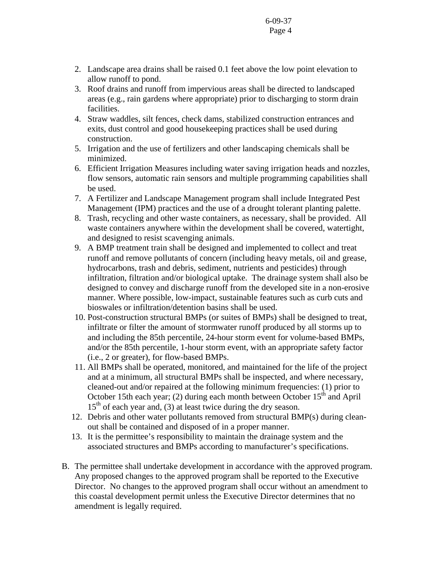- 2. Landscape area drains shall be raised 0.1 feet above the low point elevation to allow runoff to pond.
- 3. Roof drains and runoff from impervious areas shall be directed to landscaped areas (e.g., rain gardens where appropriate) prior to discharging to storm drain facilities.
- 4. Straw waddles, silt fences, check dams, stabilized construction entrances and exits, dust control and good housekeeping practices shall be used during construction.
- 5. Irrigation and the use of fertilizers and other landscaping chemicals shall be minimized.
- 6. Efficient Irrigation Measures including water saving irrigation heads and nozzles, flow sensors, automatic rain sensors and multiple programming capabilities shall be used.
- 7. A Fertilizer and Landscape Management program shall include Integrated Pest Management (IPM) practices and the use of a drought tolerant planting palette.
- 8. Trash, recycling and other waste containers, as necessary, shall be provided. All waste containers anywhere within the development shall be covered, watertight, and designed to resist scavenging animals.
- 9. A BMP treatment train shall be designed and implemented to collect and treat runoff and remove pollutants of concern (including heavy metals, oil and grease, hydrocarbons, trash and debris, sediment, nutrients and pesticides) through infiltration, filtration and/or biological uptake. The drainage system shall also be designed to convey and discharge runoff from the developed site in a non-erosive manner. Where possible, low-impact, sustainable features such as curb cuts and bioswales or infiltration/detention basins shall be used.
- 10. Post-construction structural BMPs (or suites of BMPs) shall be designed to treat, infiltrate or filter the amount of stormwater runoff produced by all storms up to and including the 85th percentile, 24-hour storm event for volume-based BMPs, and/or the 85th percentile, 1-hour storm event, with an appropriate safety factor (i.e., 2 or greater), for flow-based BMPs.
- 11. All BMPs shall be operated, monitored, and maintained for the life of the project and at a minimum, all structural BMPs shall be inspected, and where necessary, cleaned-out and/or repaired at the following minimum frequencies: (1) prior to October 15th each year; (2) during each month between October  $15<sup>th</sup>$  and April  $15<sup>th</sup>$  of each year and, (3) at least twice during the dry season.
- 12. Debris and other water pollutants removed from structural BMP(s) during cleanout shall be contained and disposed of in a proper manner.
- 13. It is the permittee's responsibility to maintain the drainage system and the associated structures and BMPs according to manufacturer's specifications.
- B. The permittee shall undertake development in accordance with the approved program. Any proposed changes to the approved program shall be reported to the Executive Director. No changes to the approved program shall occur without an amendment to this coastal development permit unless the Executive Director determines that no amendment is legally required.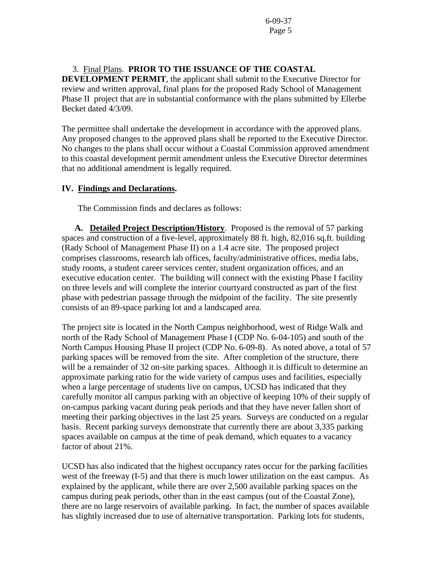## 3. Final Plans. **PRIOR TO THE ISSUANCE OF THE COASTAL**

**DEVELOPMENT PERMIT**, the applicant shall submit to the Executive Director for review and written approval, final plans for the proposed Rady School of Management Phase II project that are in substantial conformance with the plans submitted by Ellerbe Becket dated 4/3/09.

The permittee shall undertake the development in accordance with the approved plans. Any proposed changes to the approved plans shall be reported to the Executive Director. No changes to the plans shall occur without a Coastal Commission approved amendment to this coastal development permit amendment unless the Executive Director determines that no additional amendment is legally required.

## **IV. Findings and Declarations.**

The Commission finds and declares as follows:

**A. Detailed Project Description/History**. Proposed is the removal of 57 parking spaces and construction of a five-level, approximately 88 ft. high, 82,016 sq.ft. building (Rady School of Management Phase II) on a 1.4 acre site. The proposed project comprises classrooms, research lab offices, faculty/administrative offices, media labs, study rooms, a student career services center, student organization offices, and an executive education center. The building will connect with the existing Phase I facility on three levels and will complete the interior courtyard constructed as part of the first phase with pedestrian passage through the midpoint of the facility. The site presently consists of an 89-space parking lot and a landscaped area.

The project site is located in the North Campus neighborhood, west of Ridge Walk and north of the Rady School of Management Phase I (CDP No. 6-04-105) and south of the North Campus Housing Phase II project (CDP No. 6-09-8). As noted above, a total of 57 parking spaces will be removed from the site. After completion of the structure, there will be a remainder of 32 on-site parking spaces. Although it is difficult to determine an approximate parking ratio for the wide variety of campus uses and facilities, especially when a large percentage of students live on campus, UCSD has indicated that they carefully monitor all campus parking with an objective of keeping 10% of their supply of on-campus parking vacant during peak periods and that they have never fallen short of meeting their parking objectives in the last 25 years. Surveys are conducted on a regular basis. Recent parking surveys demonstrate that currently there are about 3,335 parking spaces available on campus at the time of peak demand, which equates to a vacancy factor of about 21%.

UCSD has also indicated that the highest occupancy rates occur for the parking facilities west of the freeway (I-5) and that there is much lower utilization on the east campus. As explained by the applicant, while there are over 2,500 available parking spaces on the campus during peak periods, other than in the east campus (out of the Coastal Zone), there are no large reservoirs of available parking. In fact, the number of spaces available has slightly increased due to use of alternative transportation. Parking lots for students,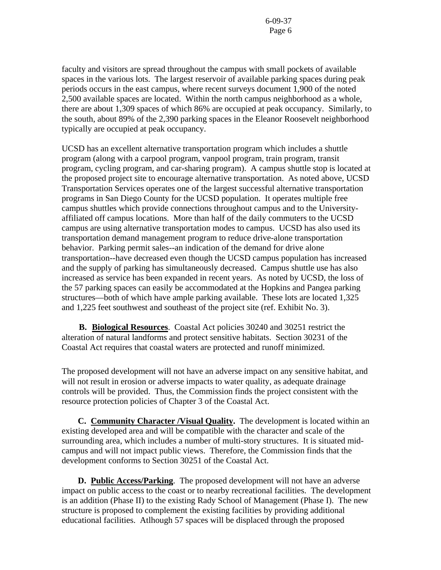faculty and visitors are spread throughout the campus with small pockets of available spaces in the various lots. The largest reservoir of available parking spaces during peak periods occurs in the east campus, where recent surveys document 1,900 of the noted 2,500 available spaces are located. Within the north campus neighborhood as a whole, there are about 1,309 spaces of which 86% are occupied at peak occupancy. Similarly, to the south, about 89% of the 2,390 parking spaces in the Eleanor Roosevelt neighborhood typically are occupied at peak occupancy.

UCSD has an excellent alternative transportation program which includes a shuttle program (along with a carpool program, vanpool program, train program, transit program, cycling program, and car-sharing program). A campus shuttle stop is located at the proposed project site to encourage alternative transportation. As noted above, UCSD Transportation Services operates one of the largest successful alternative transportation programs in San Diego County for the UCSD population. It operates multiple free campus shuttles which provide connections throughout campus and to the Universityaffiliated off campus locations. More than half of the daily commuters to the UCSD campus are using alternative transportation modes to campus. UCSD has also used its transportation demand management program to reduce drive-alone transportation behavior. Parking permit sales--an indication of the demand for drive alone transportation--have decreased even though the UCSD campus population has increased and the supply of parking has simultaneously decreased. Campus shuttle use has also increased as service has been expanded in recent years. As noted by UCSD, the loss of the 57 parking spaces can easily be accommodated at the Hopkins and Pangea parking structures—both of which have ample parking available. These lots are located 1,325 and 1,225 feet southwest and southeast of the project site (ref. Exhibit No. 3).

 **B. Biological Resources**. Coastal Act policies 30240 and 30251 restrict the alteration of natural landforms and protect sensitive habitats. Section 30231 of the Coastal Act requires that coastal waters are protected and runoff minimized.

The proposed development will not have an adverse impact on any sensitive habitat, and will not result in erosion or adverse impacts to water quality, as adequate drainage controls will be provided. Thus, the Commission finds the project consistent with the resource protection policies of Chapter 3 of the Coastal Act.

 **C. Community Character /Visual Quality.** The development is located within an existing developed area and will be compatible with the character and scale of the surrounding area, which includes a number of multi-story structures. It is situated midcampus and will not impact public views. Therefore, the Commission finds that the development conforms to Section 30251 of the Coastal Act.

**D. Public Access/Parking**. The proposed development will not have an adverse impact on public access to the coast or to nearby recreational facilities. The development is an addition (Phase II) to the existing Rady School of Management (Phase I). The new structure is proposed to complement the existing facilities by providing additional educational facilities. Atlhough 57 spaces will be displaced through the proposed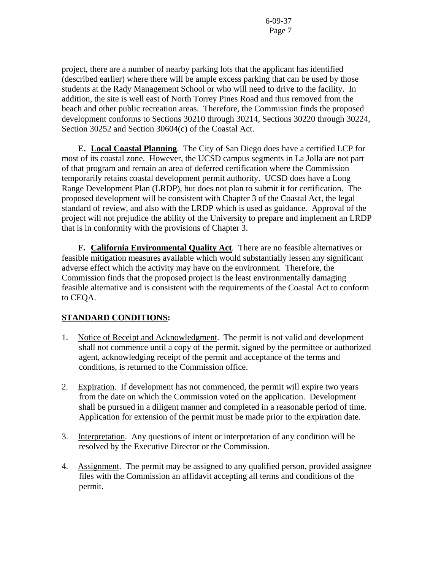project, there are a number of nearby parking lots that the applicant has identified (described earlier) where there will be ample excess parking that can be used by those students at the Rady Management School or who will need to drive to the facility. In addition, the site is well east of North Torrey Pines Road and thus removed from the beach and other public recreation areas. Therefore, the Commission finds the proposed development conforms to Sections 30210 through 30214, Sections 30220 through 30224, Section 30252 and Section 30604(c) of the Coastal Act.

**E. Local Coastal Planning**. The City of San Diego does have a certified LCP for most of its coastal zone. However, the UCSD campus segments in La Jolla are not part of that program and remain an area of deferred certification where the Commission temporarily retains coastal development permit authority. UCSD does have a Long Range Development Plan (LRDP), but does not plan to submit it for certification. The proposed development will be consistent with Chapter 3 of the Coastal Act, the legal standard of review, and also with the LRDP which is used as guidance. Approval of the project will not prejudice the ability of the University to prepare and implement an LRDP that is in conformity with the provisions of Chapter 3.

 **F. California Environmental Quality Act**. There are no feasible alternatives or feasible mitigation measures available which would substantially lessen any significant adverse effect which the activity may have on the environment. Therefore, the Commission finds that the proposed project is the least environmentally damaging feasible alternative and is consistent with the requirements of the Coastal Act to conform to CEQA.

# **STANDARD CONDITIONS:**

- 1. Notice of Receipt and Acknowledgment. The permit is not valid and development shall not commence until a copy of the permit, signed by the permittee or authorized agent, acknowledging receipt of the permit and acceptance of the terms and conditions, is returned to the Commission office.
- 2. Expiration. If development has not commenced, the permit will expire two years from the date on which the Commission voted on the application. Development shall be pursued in a diligent manner and completed in a reasonable period of time. Application for extension of the permit must be made prior to the expiration date.
- 3. Interpretation. Any questions of intent or interpretation of any condition will be resolved by the Executive Director or the Commission.
- 4. Assignment. The permit may be assigned to any qualified person, provided assignee files with the Commission an affidavit accepting all terms and conditions of the permit.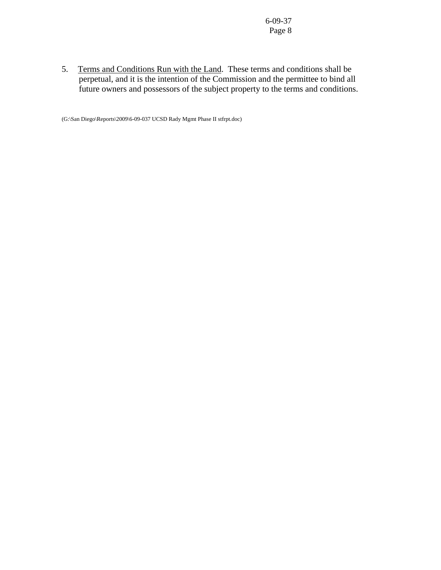5. Terms and Conditions Run with the Land. These terms and conditions shall be perpetual, and it is the intention of the Commission and the permittee to bind all future owners and possessors of the subject property to the terms and conditions.

(G:\San Diego\Reports\2009\6-09-037 UCSD Rady Mgmt Phase II stfrpt.doc)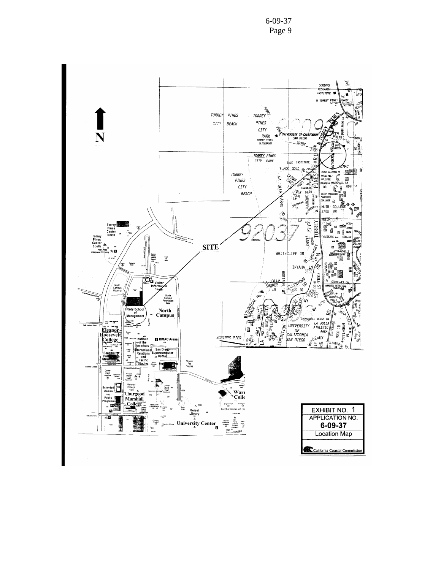